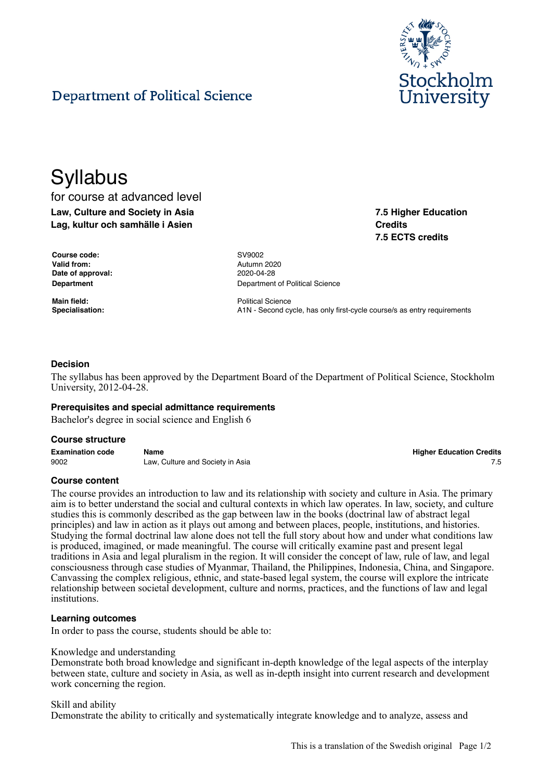

**7.5 Higher Education**

**7.5 ECTS credits**

**Credits**

# Department of Political Science

# **Syllabus**

for course at advanced level **Law, Culture and Society in Asia Lag, kultur och samhälle i Asien**

| <b>Course code:</b> | SV9002  |
|---------------------|---------|
| Valid from:         | Autumn  |
| Date of approval:   | 2020-04 |
| <b>Department</b>   | Departn |

**Valid from:** Autumn 2020 **Date of approval:** 2020-04-28 **Department of Political Science** 

**Main field:** Political Science **Specialisation:** A1N - Second cycle, has only first-cycle course/s as entry requirements

# **Decision**

The syllabus has been approved by the Department Board of the Department of Political Science, Stockholm University, 2012-04-28.

# **Prerequisites and special admittance requirements**

Bachelor's degree in social science and English 6

#### **Course structure**

**Examination code Name Higher Education Credits** 9002 Law, Culture and Society in Asia 75

# **Course content**

The course provides an introduction to law and its relationship with society and culture in Asia. The primary aim is to better understand the social and cultural contexts in which law operates. In law, society, and culture studies this is commonly described as the gap between law in the books (doctrinal law of abstract legal principles) and law in action as it plays out among and between places, people, institutions, and histories. Studying the formal doctrinal law alone does not tell the full story about how and under what conditions law is produced, imagined, or made meaningful. The course will critically examine past and present legal traditions in Asia and legal pluralism in the region. It will consider the concept of law, rule of law, and legal consciousness through case studies of Myanmar, Thailand, the Philippines, Indonesia, China, and Singapore. Canvassing the complex religious, ethnic, and state-based legal system, the course will explore the intricate relationship between societal development, culture and norms, practices, and the functions of law and legal institutions.

#### **Learning outcomes**

In order to pass the course, students should be able to:

#### Knowledge and understanding

Demonstrate both broad knowledge and significant in-depth knowledge of the legal aspects of the interplay between state, culture and society in Asia, as well as in-depth insight into current research and development work concerning the region.

#### Skill and ability

Demonstrate the ability to critically and systematically integrate knowledge and to analyze, assess and